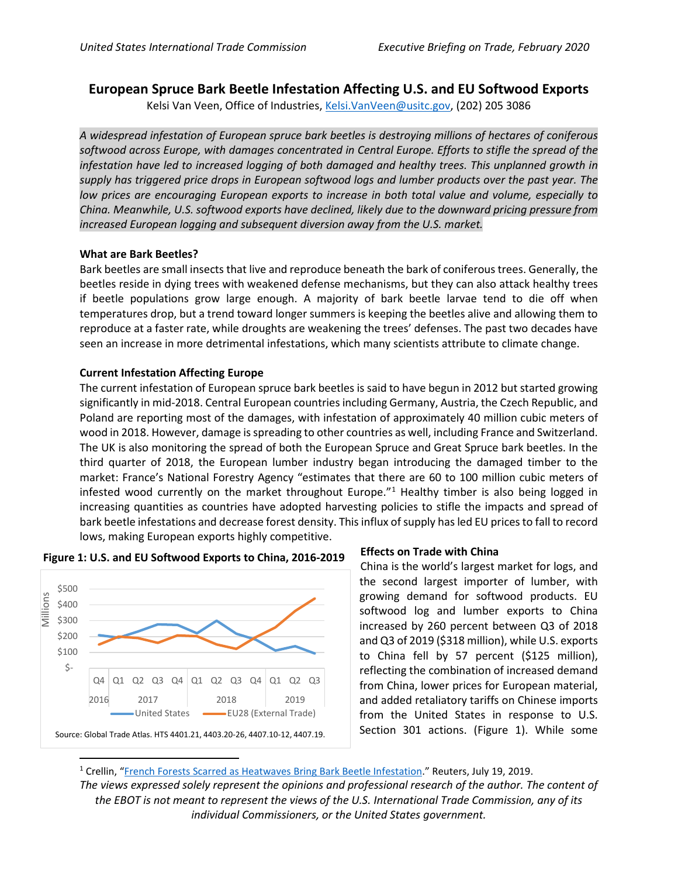# **European Spruce Bark Beetle Infestation Affecting U.S. and EU Softwood Exports**

Kelsi Van Veen, Office of Industries, [Kelsi.VanVeen@usitc.gov,](mailto:Kelsi.VanVeen@usitc.gov) (202) 205 3086

*A widespread infestation of European spruce bark beetles is destroying millions of hectares of coniferous*  softwood across Europe, with damages concentrated in Central Europe. Efforts to stifle the spread of the *infestation have led to increased logging of both damaged and healthy trees. This unplanned growth in supply has triggered price drops in European softwood logs and lumber products over the past year. The low prices are encouraging European exports to increase in both total value and volume, especially to China. Meanwhile, U.S. softwood exports have declined, likely due to the downward pricing pressure from increased European logging and subsequent diversion away from the U.S. market.*

## **What are Bark Beetles?**

Bark beetles are small insects that live and reproduce beneath the bark of coniferous trees. Generally, the beetles reside in dying trees with weakened defense mechanisms, but they can also attack healthy trees if beetle populations grow large enough. A majority of bark beetle larvae tend to die off when temperatures drop, but a trend toward longer summers is keeping the beetles alive and allowing them to reproduce at a faster rate, while droughts are weakening the trees' defenses. The past two decades have seen an increase in more detrimental infestations, which many scientists attribute to climate change.

## **Current Infestation Affecting Europe**

The current infestation of European spruce bark beetles is said to have begun in 2012 but started growing significantly in mid-2018. Central European countries including Germany, Austria, the Czech Republic, and Poland are reporting most of the damages, with infestation of approximately 40 million cubic meters of wood in 2018. However, damage is spreading to other countries as well, including France and Switzerland. The UK is also monitoring the spread of both the European Spruce and Great Spruce bark beetles. In the third quarter of 2018, the European lumber industry began introducing the damaged timber to the market: France's National Forestry Agency "estimates that there are 60 to 100 million cubic meters of infested wood currently on the market throughout Europe." $1$  Healthy timber is also being logged in increasing quantities as countries have adopted harvesting policies to stifle the impacts and spread of bark beetle infestations and decrease forest density. This influx of supply has led EU prices to fall to record lows, making European exports highly competitive.



## **Figure 1: U.S. and EU Softwood Exports to China, 2016-2019**

#### **Effects on Trade with China**

China is the world's largest market for logs, and the second largest importer of lumber, with growing demand for softwood products. EU softwood log and lumber exports to China increased by 260 percent between Q3 of 2018 and Q3 of 2019 (\$318 million), while U.S. exports to China fell by 57 percent (\$125 million), reflecting the combination of increased demand from China, lower prices for European material, and added retaliatory tariffs on Chinese imports from the United States in response to U.S. Section 301 actions. (Figure 1). While some

*The views expressed solely represent the opinions and professional research of the author. The content of the EBOT is not meant to represent the views of the U.S. International Trade Commission, any of its individual Commissioners, or the United States government.*

<span id="page-0-0"></span><sup>1</sup> Crellin, ["French Forests Scarred as Heatwaves Bring Bark Beetle Infestation."](https://www.reuters.com/article/us-climate-change-france-forests/french-forests-scarred-as-heatwaves-bring-bark-beetle-infestation-idUSKCN1UE20S) Reuters, July 19, 2019.